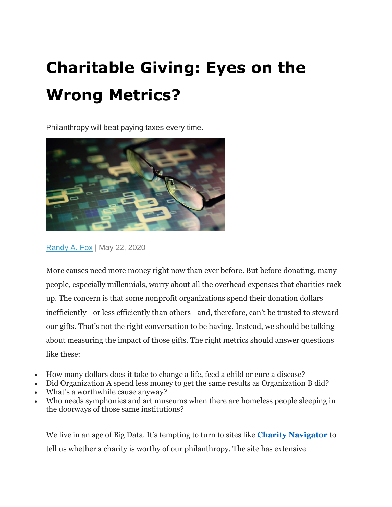# **Charitable Giving: Eyes on the Wrong Metrics?**

Philanthropy will beat paying taxes every time.



[Randy A. Fox](https://www.wealthmanagement.com/author/Randy-Fox) | May 22, 2020

More causes need more money right now than ever before. But before donating, many people, especially millennials, worry about all the overhead expenses that charities rack up. The concern is that some nonprofit organizations spend their donation dollars inefficiently—or less efficiently than others—and, therefore, can't be trusted to steward our gifts. That's not the right conversation to be having. Instead, we should be talking about measuring the impact of those gifts. The right metrics should answer questions like these:

- How many dollars does it take to change a life, feed a child or cure a disease?
- Did Organization A spend less money to get the same results as Organization B did?
- What's a worthwhile cause anyway?
- Who needs symphonies and art museums when there are homeless people sleeping in the doorways of those same institutions?

We live in an age of Big Data. It's tempting to turn to sites like **[Charity Navigator](https://www.charitynavigator.org/)** to tell us whether a charity is worthy of our philanthropy. The site has extensive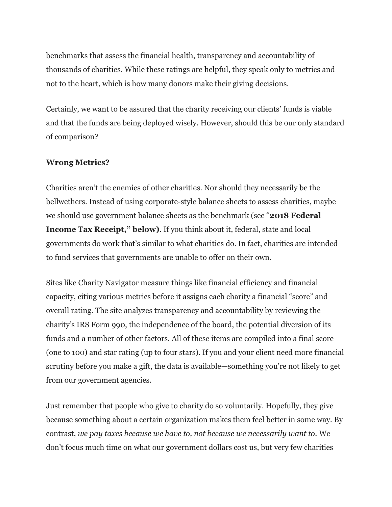benchmarks that assess the financial health, transparency and accountability of thousands of charities. While these ratings are helpful, they speak only to metrics and not to the heart, which is how many donors make their giving decisions.

Certainly, we want to be assured that the charity receiving our clients' funds is viable and that the funds are being deployed wisely. However, should this be our only standard of comparison?

### **Wrong Metrics?**

Charities aren't the enemies of other charities. Nor should they necessarily be the bellwethers. Instead of using corporate-style balance sheets to assess charities, maybe we should use government balance sheets as the benchmark (see "**2018 Federal Income Tax Receipt," below)**. If you think about it, federal, state and local governments do work that's similar to what charities do. In fact, charities are intended to fund services that governments are unable to offer on their own.

Sites like Charity Navigator measure things like financial efficiency and financial capacity, citing various metrics before it assigns each charity a financial "score" and overall rating. The site analyzes transparency and accountability by reviewing the charity's IRS Form 990, the independence of the board, the potential diversion of its funds and a number of other factors. All of these items are compiled into a final score (one to 100) and star rating (up to four stars). If you and your client need more financial scrutiny before you make a gift, the data is available—something you're not likely to get from our government agencies.

Just remember that people who give to charity do so voluntarily. Hopefully, they give because something about a certain organization makes them feel better in some way. By contrast, *we pay taxes because we have to, not because we necessarily want to.* We don't focus much time on what our government dollars cost us, but very few charities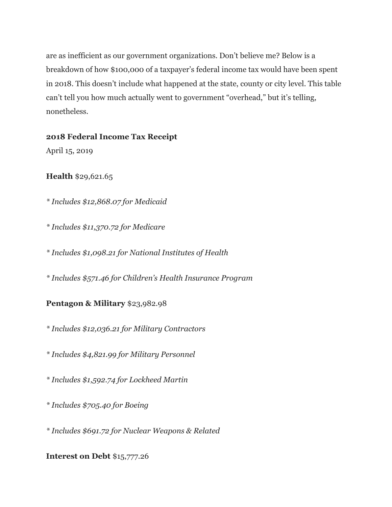are as inefficient as our government organizations. Don't believe me? Below is a breakdown of how \$100,000 of a taxpayer's federal income tax would have been spent in 2018. This doesn't include what happened at the state, county or city level. This table can't tell you how much actually went to government "overhead," but it's telling, nonetheless.

## **2018 Federal Income Tax Receipt**

April 15, 2019

# **Health** \$29,621.65

*\* Includes \$12,868.07 for Medicaid*

*\* Includes \$11,370.72 for Medicare*

*\* Includes \$1,098.21 for National Institutes of Health*

*\* Includes \$571.46 for Children's Health Insurance Program*

# **Pentagon & Military** \$23,982.98

*\* Includes \$12,036.21 for Military Contractors*

*\* Includes \$4,821.99 for Military Personnel*

*\* Includes \$1,592.74 for Lockheed Martin*

*\* Includes \$705.40 for Boeing*

*\* Includes \$691.72 for Nuclear Weapons & Related*

# **Interest on Debt** \$15,777.26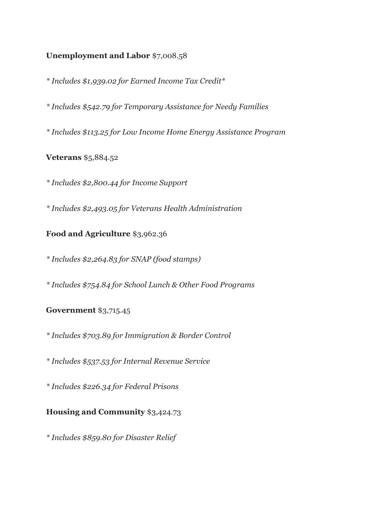## **Unemployment and Labor** \$7,008.58

*\* Includes \$1,939.02 for Earned Income Tax Credit\**

*\* Includes \$542.79 for Temporary Assistance for Needy Families*

*\* Includes \$113.25 for Low Income Home Energy Assistance Program*

**Veterans** \$5,884.52

*\* Includes \$2,800.44 for Income Support*

*\* Includes \$2,493.05 for Veterans Health Administration*

## **Food and Agriculture** \$3,962.36

*\* Includes \$2,264.83 for SNAP (food stamps)*

*\* Includes \$754.84 for School Lunch & Other Food Programs*

### **Government** \$3,715.45

*\* Includes \$703.89 for Immigration & Border Control*

*\* Includes \$537.53 for Internal Revenue Service*

*\* Includes \$226.34 for Federal Prisons*

## **Housing and Community** \$3,424.73

*\* Includes \$859.80 for Disaster Relief*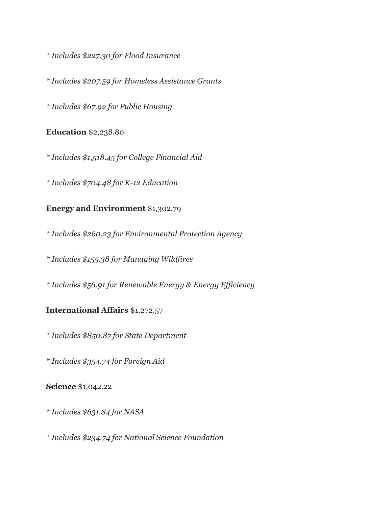*\* Includes \$227.30 for Flood Insurance*

*\* Includes \$207.59 for Homeless Assistance Grants*

*\* Includes \$67.92 for Public Housing*

**Education** \$2,238.80

*\* Includes \$1,518.45 for College Financial Aid*

*\* Includes \$704.48 for K-12 Education*

# **Energy and Environment** \$1,302.79

*\* Includes \$260.23 for Environmental Protection Agency*

*\* Includes \$155.38 for Managing Wildfires*

*\* Includes \$56.91 for Renewable Energy & Energy Efficiency*

## **International Affairs** \$1,272.57

*\* Includes \$850.87 for State Department*

*\* Includes \$354.74 for Foreign Aid*

### **Science** \$1,042.22

*\* Includes \$631.84 for NASA*

*\* Includes \$234.74 for National Science Foundation*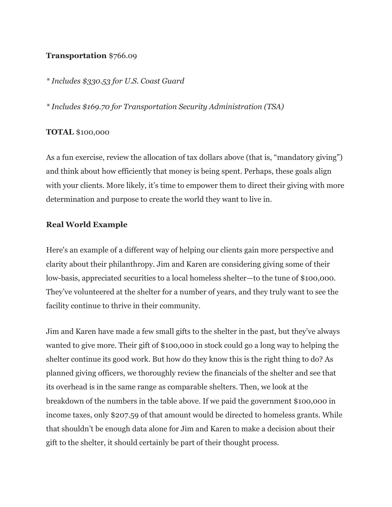#### **Transportation** \$766.09

*\* Includes \$330.53 for U.S. Coast Guard*

*\* Includes \$169.70 for Transportation Security Administration (TSA)*

#### **TOTAL** \$100,000

As a fun exercise, review the allocation of tax dollars above (that is, "mandatory giving") and think about how efficiently that money is being spent. Perhaps, these goals align with your clients. More likely, it's time to empower them to direct their giving with more determination and purpose to create the world they want to live in.

#### **Real World Example**

Here's an example of a different way of helping our clients gain more perspective and clarity about their philanthropy. Jim and Karen are considering giving some of their low-basis, appreciated securities to a local homeless shelter—to the tune of \$100,000. They've volunteered at the shelter for a number of years, and they truly want to see the facility continue to thrive in their community.

Jim and Karen have made a few small gifts to the shelter in the past, but they've always wanted to give more. Their gift of \$100,000 in stock could go a long way to helping the shelter continue its good work. But how do they know this is the right thing to do? As planned giving officers, we thoroughly review the financials of the shelter and see that its overhead is in the same range as comparable shelters. Then, we look at the breakdown of the numbers in the table above. If we paid the government \$100,000 in income taxes, only \$207.59 of that amount would be directed to homeless grants. While that shouldn't be enough data alone for Jim and Karen to make a decision about their gift to the shelter, it should certainly be part of their thought process.